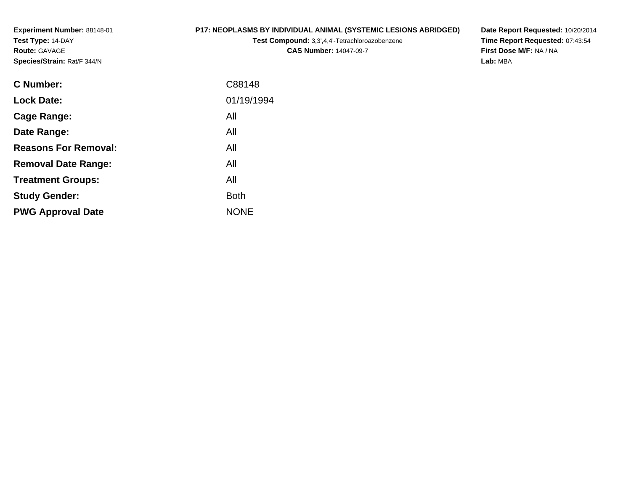**Experiment Number:** 88148-01**Test Type:** 14-DAY**Route:** GAVAGE**Species/Strain:** Rat/F 344/N

# **P17: NEOPLASMS BY INDIVIDUAL ANIMAL (SYSTEMIC LESIONS ABRIDGED)**

**Test Compound:** 3,3',4,4'-Tetrachloroazobenzene**CAS Number:** 14047-09-7

| C Number:                   | C88148      |
|-----------------------------|-------------|
| <b>Lock Date:</b>           | 01/19/1994  |
| Cage Range:                 | All         |
| Date Range:                 | All         |
| <b>Reasons For Removal:</b> | All         |
| <b>Removal Date Range:</b>  | All         |
| <b>Treatment Groups:</b>    | All         |
| <b>Study Gender:</b>        | <b>Both</b> |
| <b>PWG Approval Date</b>    | <b>NONE</b> |
|                             |             |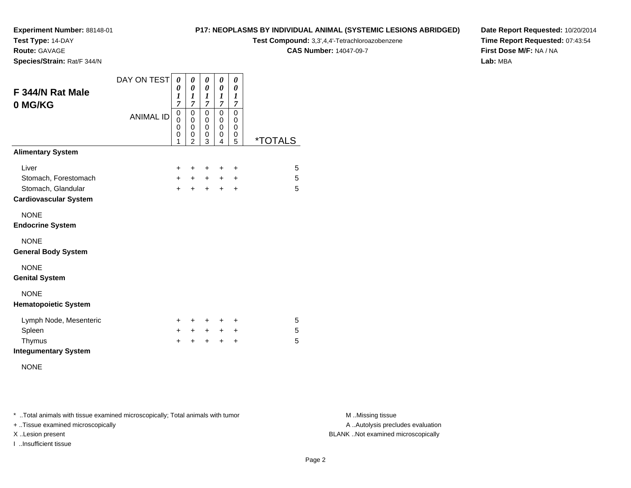**Test Type:** 14-DAY

**Route:** GAVAGE

**Species/Strain:** Rat/F 344/N

#### **P17: NEOPLASMS BY INDIVIDUAL ANIMAL (SYSTEMIC LESIONS ABRIDGED)**

**Test Compound:** 3,3',4,4'-Tetrachloroazobenzene

**CAS Number:** 14047-09-7

**Date Report Requested:** 10/20/2014**Time Report Requested:** 07:43:54**First Dose M/F:** NA / NA**Lab:** MBA

| F 344/N Rat Male<br>0 MG/KG  | DAY ON TEST<br><b>ANIMAL ID</b> | 0<br>0<br>1<br>$\overline{7}$<br>0<br>0<br>0 | 0<br>0<br>1<br>7<br>$\pmb{0}$<br>0<br>0 | 0<br>$\boldsymbol{\theta}$<br>1<br>$\overline{7}$<br>$\mathbf 0$<br>$\mathbf 0$<br>$\mathbf 0$ | 0<br>0<br>1<br>$\overline{7}$<br>$\mathbf 0$<br>$\mathbf 0$<br>$\mathbf 0$ | 0<br>0<br>$\boldsymbol{l}$<br>$\overline{7}$<br>$\mathbf 0$<br>0<br>0 |                       |
|------------------------------|---------------------------------|----------------------------------------------|-----------------------------------------|------------------------------------------------------------------------------------------------|----------------------------------------------------------------------------|-----------------------------------------------------------------------|-----------------------|
|                              |                                 | 0<br>1                                       | 0<br>$\overline{2}$                     | 0<br>3                                                                                         | 0<br>4                                                                     | 0<br>5                                                                | <i><b>*TOTALS</b></i> |
| <b>Alimentary System</b>     |                                 |                                              |                                         |                                                                                                |                                                                            |                                                                       |                       |
| Liver                        |                                 | $\ddot{}$                                    | +                                       | +                                                                                              | $\ddot{}$                                                                  | +                                                                     | 5                     |
| Stomach, Forestomach         |                                 | $+$                                          | $+$                                     | $+$                                                                                            | $+$                                                                        | $\ddot{}$                                                             | 5                     |
| Stomach, Glandular           |                                 | $+$                                          | $+$                                     | $\ddot{}$                                                                                      | $+$                                                                        | $\ddot{}$                                                             | 5                     |
| <b>Cardiovascular System</b> |                                 |                                              |                                         |                                                                                                |                                                                            |                                                                       |                       |
| <b>NONE</b>                  |                                 |                                              |                                         |                                                                                                |                                                                            |                                                                       |                       |
| <b>Endocrine System</b>      |                                 |                                              |                                         |                                                                                                |                                                                            |                                                                       |                       |
| <b>NONE</b>                  |                                 |                                              |                                         |                                                                                                |                                                                            |                                                                       |                       |
| <b>General Body System</b>   |                                 |                                              |                                         |                                                                                                |                                                                            |                                                                       |                       |
| <b>NONE</b>                  |                                 |                                              |                                         |                                                                                                |                                                                            |                                                                       |                       |
| <b>Genital System</b>        |                                 |                                              |                                         |                                                                                                |                                                                            |                                                                       |                       |
| <b>NONE</b>                  |                                 |                                              |                                         |                                                                                                |                                                                            |                                                                       |                       |
| <b>Hematopoietic System</b>  |                                 |                                              |                                         |                                                                                                |                                                                            |                                                                       |                       |
| Lymph Node, Mesenteric       |                                 | +                                            | +                                       | +                                                                                              | +                                                                          | ÷                                                                     | 5                     |
| Spleen                       |                                 | $\ddot{}$                                    | $+$                                     | $+$                                                                                            | $+$                                                                        | +                                                                     | 5                     |
| Thymus                       |                                 | $\ddot{}$                                    | $\ddot{}$                               | $\ddot{}$                                                                                      | $\ddot{}$                                                                  | $\ddot{}$                                                             | 5                     |
| <b>Integumentary System</b>  |                                 |                                              |                                         |                                                                                                |                                                                            |                                                                       |                       |

NONE

\* ..Total animals with tissue examined microscopically; Total animals with tumor **M** . Missing tissue M ..Missing tissue

+ ..Tissue examined microscopically

I ..Insufficient tissue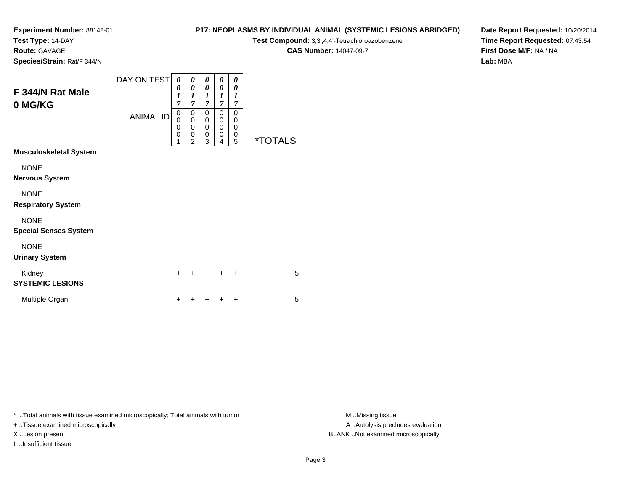**Test Type:** 14-DAY

**Route:** GAVAGE

**Species/Strain:** Rat/F 344/N

# **P17: NEOPLASMS BY INDIVIDUAL ANIMAL (SYSTEMIC LESIONS ABRIDGED)**

**Test Compound:** 3,3',4,4'-Tetrachloroazobenzene

**CAS Number:** 14047-09-7

**Date Report Requested:** 10/20/2014**Time Report Requested:** 07:43:54**First Dose M/F:** NA / NA**Lab:** MBA

| F 344/N Rat Male<br>0 MG/KG                 | DAY ON TEST<br><b>ANIMAL ID</b> | 0<br>0<br>$\boldsymbol{l}$<br>7<br>0<br>0<br>0 | 0<br>$\boldsymbol{\theta}$<br>$\boldsymbol{l}$<br>$\overline{7}$<br>$\boldsymbol{0}$<br>$\mathbf 0$<br>0 | 0<br>0<br>1<br>7<br>0<br>0<br>0 | 0<br>0<br>1<br>7<br>0<br>0<br>0 | 0<br>$\boldsymbol{\theta}$<br>$\boldsymbol{l}$<br>$\overline{7}$<br>0<br>0<br>0 |                       |  |
|---------------------------------------------|---------------------------------|------------------------------------------------|----------------------------------------------------------------------------------------------------------|---------------------------------|---------------------------------|---------------------------------------------------------------------------------|-----------------------|--|
|                                             |                                 | 0                                              | 0<br>$\mathfrak{p}$                                                                                      | 0<br>3                          | 0<br>4                          | 0<br>5                                                                          | <i><b>*TOTALS</b></i> |  |
| <b>Musculoskeletal System</b>               |                                 |                                                |                                                                                                          |                                 |                                 |                                                                                 |                       |  |
| <b>NONE</b><br>Nervous System               |                                 |                                                |                                                                                                          |                                 |                                 |                                                                                 |                       |  |
| <b>NONE</b><br><b>Respiratory System</b>    |                                 |                                                |                                                                                                          |                                 |                                 |                                                                                 |                       |  |
| <b>NONE</b><br><b>Special Senses System</b> |                                 |                                                |                                                                                                          |                                 |                                 |                                                                                 |                       |  |
| <b>NONE</b><br><b>Urinary System</b>        |                                 |                                                |                                                                                                          |                                 |                                 |                                                                                 |                       |  |
| Kidney<br><b>SYSTEMIC LESIONS</b>           |                                 | +                                              |                                                                                                          |                                 |                                 | $\ddot{}$                                                                       | 5                     |  |
| Multiple Organ                              |                                 | +                                              |                                                                                                          |                                 | ┿                               | +                                                                               | 5                     |  |

\* ..Total animals with tissue examined microscopically; Total animals with tumor **M** . Missing tissue M ..Missing tissue

+ ..Tissue examined microscopically

I ..Insufficient tissue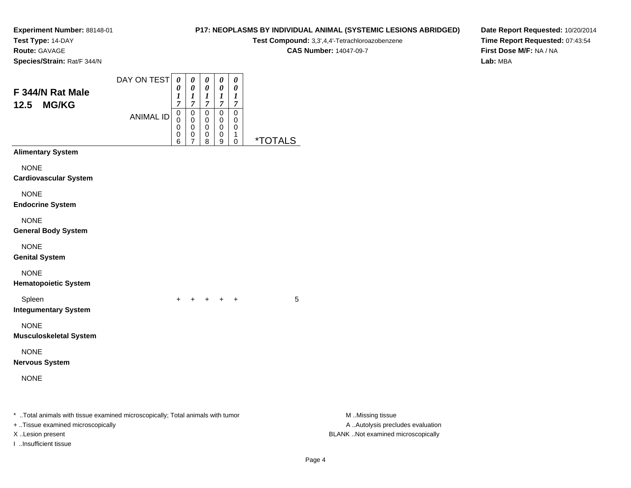**Test Type:** 14-DAY

**Route:** GAVAGE

**Species/Strain:** Rat/F 344/N

# **P17: NEOPLASMS BY INDIVIDUAL ANIMAL (SYSTEMIC LESIONS ABRIDGED)Test Compound:** 3,3',4,4'-Tetrachloroazobenzene

**CAS Number:** 14047-09-7

| F 344/N Rat Male<br><b>MG/KG</b><br>12.5                                                                                                                         | DAY ON TEST<br><b>ANIMAL ID</b> | 0<br>0<br>$\boldsymbol{l}$<br>$\overline{7}$<br>$\,0\,$ | 0<br>0<br>$\boldsymbol{l}$<br>$\overline{7}$<br>$\pmb{0}$ | $\pmb{\theta}$<br>0<br>$\boldsymbol{l}$<br>$\boldsymbol{7}$<br>$\pmb{0}$ | $\pmb{\theta}$<br>0<br>$\boldsymbol{l}$<br>$\overline{7}$<br>$\pmb{0}$ | 0<br>0<br>1<br>$\boldsymbol{7}$<br>$\pmb{0}$ |                       |                                                                                             |
|------------------------------------------------------------------------------------------------------------------------------------------------------------------|---------------------------------|---------------------------------------------------------|-----------------------------------------------------------|--------------------------------------------------------------------------|------------------------------------------------------------------------|----------------------------------------------|-----------------------|---------------------------------------------------------------------------------------------|
|                                                                                                                                                                  |                                 | $\mathbf 0$<br>0<br>0<br>6                              | 0<br>0<br>$\pmb{0}$<br>7                                  | 0<br>0<br>$\pmb{0}$<br>8                                                 | 0<br>0<br>$\pmb{0}$<br>9                                               | 0<br>0<br>1<br>0                             | <i><b>*TOTALS</b></i> |                                                                                             |
| <b>Alimentary System</b><br><b>NONE</b><br><b>Cardiovascular System</b><br><b>NONE</b>                                                                           |                                 |                                                         |                                                           |                                                                          |                                                                        |                                              |                       |                                                                                             |
| <b>Endocrine System</b><br><b>NONE</b><br><b>General Body System</b>                                                                                             |                                 |                                                         |                                                           |                                                                          |                                                                        |                                              |                       |                                                                                             |
| <b>NONE</b><br><b>Genital System</b>                                                                                                                             |                                 |                                                         |                                                           |                                                                          |                                                                        |                                              |                       |                                                                                             |
| <b>NONE</b><br><b>Hematopoietic System</b>                                                                                                                       |                                 |                                                         |                                                           |                                                                          |                                                                        |                                              |                       |                                                                                             |
| Spleen<br><b>Integumentary System</b>                                                                                                                            |                                 |                                                         |                                                           | $+$                                                                      | $+$                                                                    | $\ddot{}$                                    | 5                     |                                                                                             |
| <b>NONE</b><br><b>Musculoskeletal System</b>                                                                                                                     |                                 |                                                         |                                                           |                                                                          |                                                                        |                                              |                       |                                                                                             |
| <b>NONE</b><br><b>Nervous System</b>                                                                                                                             |                                 |                                                         |                                                           |                                                                          |                                                                        |                                              |                       |                                                                                             |
| <b>NONE</b>                                                                                                                                                      |                                 |                                                         |                                                           |                                                                          |                                                                        |                                              |                       |                                                                                             |
| * Total animals with tissue examined microscopically; Total animals with tumor<br>+ Tissue examined microscopically<br>X Lesion present<br>I Insufficient tissue |                                 |                                                         |                                                           |                                                                          |                                                                        |                                              |                       | M Missing tissue<br>A  Autolysis precludes evaluation<br>BLANK Not examined microscopically |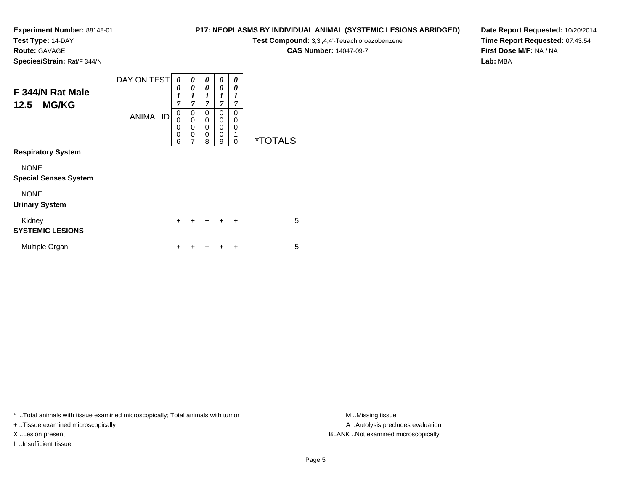**Test Type:** 14-DAY

**Route:** GAVAGE

**Species/Strain:** Rat/F 344/N

# **P17: NEOPLASMS BY INDIVIDUAL ANIMAL (SYSTEMIC LESIONS ABRIDGED)**

**Test Compound:** 3,3',4,4'-Tetrachloroazobenzene

**CAS Number:** 14047-09-7

**Date Report Requested:** 10/20/2014**Time Report Requested:** 07:43:54**First Dose M/F:** NA / NA**Lab:** MBA

| F 344/N Rat Male<br><b>MG/KG</b><br>12.5    | DAY ON TEST      | 0<br>0<br>$\boldsymbol{l}$<br>$\overline{7}$ | 0<br>0<br>1<br>$\overline{7}$                | 0<br>0<br>$\boldsymbol{l}$<br>$\overline{7}$ | 0<br>0<br>1<br>$\overline{7}$                       | 0<br>0<br>1<br>7      |                       |
|---------------------------------------------|------------------|----------------------------------------------|----------------------------------------------|----------------------------------------------|-----------------------------------------------------|-----------------------|-----------------------|
|                                             | <b>ANIMAL ID</b> | $\mathbf 0$<br>0<br>0<br>0<br>6              | 0<br>$\mathbf 0$<br>0<br>0<br>$\overline{7}$ | $\Omega$<br>$\Omega$<br>0<br>$\Omega$<br>8   | 0<br>$\mathbf 0$<br>$\mathbf 0$<br>$\mathbf 0$<br>9 | 0<br>0<br>0<br>1<br>0 | <i><b>*TOTALS</b></i> |
| <b>Respiratory System</b>                   |                  |                                              |                                              |                                              |                                                     |                       |                       |
| <b>NONE</b><br><b>Special Senses System</b> |                  |                                              |                                              |                                              |                                                     |                       |                       |
| <b>NONE</b><br><b>Urinary System</b>        |                  |                                              |                                              |                                              |                                                     |                       |                       |
| Kidney<br><b>SYSTEMIC LESIONS</b>           |                  | $\ddot{}$                                    | +                                            | $+$                                          | $\ddot{}$                                           | $\ddot{}$             | 5                     |
| Multiple Organ                              |                  | ÷                                            |                                              |                                              |                                                     | ÷                     | 5                     |

\* ..Total animals with tissue examined microscopically; Total animals with tumor **M** . Missing tissue M ..Missing tissue

+ ..Tissue examined microscopically

I ..Insufficient tissue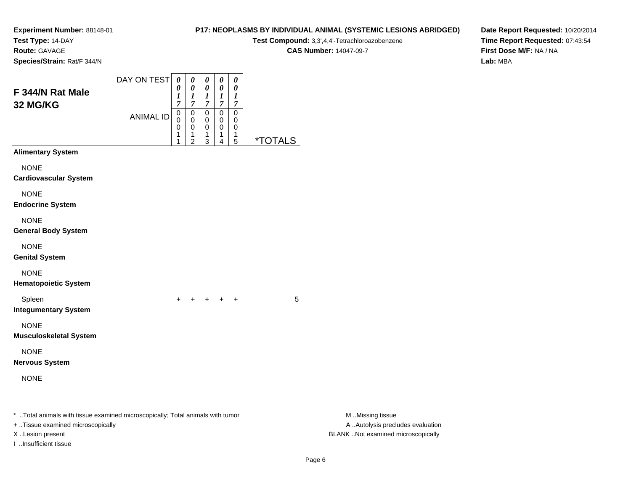**Test Type:** 14-DAY

**Route:** GAVAGE

**Species/Strain:** Rat/F 344/N

# **P17: NEOPLASMS BY INDIVIDUAL ANIMAL (SYSTEMIC LESIONS ABRIDGED)**

**Test Compound:** 3,3',4,4'-Tetrachloroazobenzene

**CAS Number:** 14047-09-7

**Date Report Requested:** 10/20/2014**Time Report Requested:** 07:43:54**First Dose M/F:** NA / NA**Lab:** MBA

| F 344/N Rat Male<br><b>32 MG/KG</b>                                                                                 | DAY ON TEST<br><b>ANIMAL ID</b> | $\boldsymbol{\theta}$<br>0<br>1<br>7<br>0<br>0<br>0<br>1<br>1 | 0<br>$\pmb{\theta}$<br>1<br>7<br>0<br>$\mathbf 0$<br>0<br>1<br>2 | 0<br>$\pmb{\theta}$<br>1<br>$\overline{7}$<br>0<br>0<br>0<br>1<br>3 | 0<br>0<br>$\boldsymbol{l}$<br>$\overline{7}$<br>$\pmb{0}$<br>0<br>0<br>1<br>4 | 0<br>0<br>$\bm{l}$<br>$\overline{7}$<br>$\mathbf 0$<br>0<br>0<br>1<br>5 | <i><b>*TOTALS</b></i> |                                                       |  |
|---------------------------------------------------------------------------------------------------------------------|---------------------------------|---------------------------------------------------------------|------------------------------------------------------------------|---------------------------------------------------------------------|-------------------------------------------------------------------------------|-------------------------------------------------------------------------|-----------------------|-------------------------------------------------------|--|
| <b>Alimentary System</b>                                                                                            |                                 |                                                               |                                                                  |                                                                     |                                                                               |                                                                         |                       |                                                       |  |
| <b>NONE</b><br><b>Cardiovascular System</b>                                                                         |                                 |                                                               |                                                                  |                                                                     |                                                                               |                                                                         |                       |                                                       |  |
| <b>NONE</b><br><b>Endocrine System</b>                                                                              |                                 |                                                               |                                                                  |                                                                     |                                                                               |                                                                         |                       |                                                       |  |
| <b>NONE</b><br>General Body System                                                                                  |                                 |                                                               |                                                                  |                                                                     |                                                                               |                                                                         |                       |                                                       |  |
| <b>NONE</b><br><b>Genital System</b>                                                                                |                                 |                                                               |                                                                  |                                                                     |                                                                               |                                                                         |                       |                                                       |  |
| <b>NONE</b><br><b>Hematopoietic System</b>                                                                          |                                 |                                                               |                                                                  |                                                                     |                                                                               |                                                                         |                       |                                                       |  |
| Spleen<br><b>Integumentary System</b>                                                                               |                                 |                                                               |                                                                  |                                                                     |                                                                               | $\ddot{}$                                                               | 5                     |                                                       |  |
| <b>NONE</b><br><b>Musculoskeletal System</b>                                                                        |                                 |                                                               |                                                                  |                                                                     |                                                                               |                                                                         |                       |                                                       |  |
| <b>NONE</b><br>Nervous System                                                                                       |                                 |                                                               |                                                                  |                                                                     |                                                                               |                                                                         |                       |                                                       |  |
| <b>NONE</b>                                                                                                         |                                 |                                                               |                                                                  |                                                                     |                                                                               |                                                                         |                       |                                                       |  |
| * Total animals with tissue examined microscopically; Total animals with tumor<br>+ Tissue examined microscopically |                                 |                                                               |                                                                  |                                                                     |                                                                               |                                                                         |                       | M Missing tissue<br>A  Autolysis precludes evaluation |  |
| X Lesion present                                                                                                    |                                 |                                                               |                                                                  |                                                                     |                                                                               |                                                                         |                       | BLANK Not examined microscopically                    |  |

I ..Insufficient tissue

.Missing tissue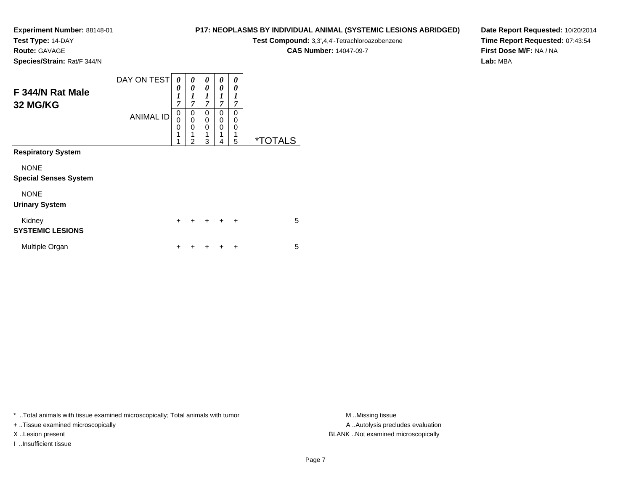**Test Type:** 14-DAY

**Route:** GAVAGE

**P17: NEOPLASMS BY INDIVIDUAL ANIMAL (SYSTEMIC LESIONS ABRIDGED)**

**Test Compound:** 3,3',4,4'-Tetrachloroazobenzene

**CAS Number:** 14047-09-7

**Date Report Requested:** 10/20/2014**Time Report Requested:** 07:43:54**First Dose M/F:** NA / NA**Lab:** MBA

| Species/Strain: Rat/F 344/N |  |
|-----------------------------|--|
|                             |  |

| F 344/N Rat Male<br>32 MG/KG                | DAY ON TEST<br><b>ANIMAL ID</b> | 0<br>0<br>$\boldsymbol{l}$<br>7<br>$\boldsymbol{0}$<br>$\overline{0}$ | 0<br>$\boldsymbol{\theta}$<br>$\boldsymbol{l}$<br>$\overline{7}$<br>0<br>$\mathbf 0$ | 0<br>0<br>1<br>7<br>0<br>0 | 0<br>$\theta$<br>1<br>7<br>0<br>$\mathbf 0$ | 0<br>0<br>1<br>7<br>0<br>0 |                       |
|---------------------------------------------|---------------------------------|-----------------------------------------------------------------------|--------------------------------------------------------------------------------------|----------------------------|---------------------------------------------|----------------------------|-----------------------|
|                                             |                                 | 0<br>1<br>1                                                           | 0<br>1<br>$\overline{2}$                                                             | $\Omega$<br>1<br>3         | $\Omega$<br>1<br>4                          | 0<br>1<br>5                | <i><b>*TOTALS</b></i> |
| <b>Respiratory System</b>                   |                                 |                                                                       |                                                                                      |                            |                                             |                            |                       |
| <b>NONE</b><br><b>Special Senses System</b> |                                 |                                                                       |                                                                                      |                            |                                             |                            |                       |
| <b>NONE</b><br><b>Urinary System</b>        |                                 |                                                                       |                                                                                      |                            |                                             |                            |                       |
| Kidney<br><b>SYSTEMIC LESIONS</b>           |                                 | $\ddot{}$                                                             | $\ddot{}$                                                                            | $+$                        | $\ddot{}$                                   | $\ddot{}$                  | 5                     |
| Multiple Organ                              |                                 | $\div$                                                                |                                                                                      |                            |                                             | ÷                          | 5                     |

\* ..Total animals with tissue examined microscopically; Total animals with tumor **M** . Missing tissue M ..Missing tissue

+ ..Tissue examined microscopically

I ..Insufficient tissue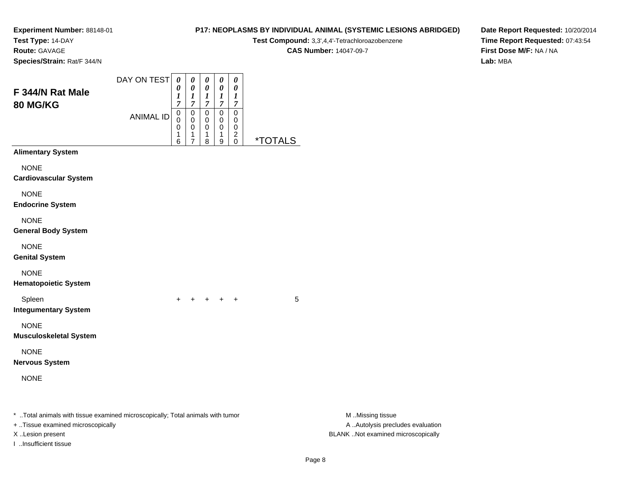**Test Type:** 14-DAY

**Route:** GAVAGE

**Species/Strain:** Rat/F 344/N

#### DAY ON TEST**F 344/N Rat Male80 MG/KG**ANIMAL ID*0 0 1 7* 0 0 0 1*0 0 1 7*0<br>0<br>0<br>1 *0 0 1 7* 0 0 0 1*0 0 1 7* 0 0 0 1*0 0 1 7* 0 00 2

6

7

8

9

<sup>+</sup> <sup>+</sup> <sup>+</sup> <sup>+</sup> <sup>5</sup>

0 \*TOTALS

**Alimentary System**

**NONE** 

**Cardiovascular System**

NONE

**Endocrine System**

NONE

**General Body System**

NONE

**Genital System**

NONE

**Hematopoietic System**

Spleen

n  $+$ **Integumentary System**

NONE

**Musculoskeletal System**

NONE

**Nervous System**

NONE

\* ..Total animals with tissue examined microscopically; Total animals with tumor **M** ..Missing tissue M ..Missing tissue

+ ..Tissue examined microscopically

I ..Insufficient tissue

**P17: NEOPLASMS BY INDIVIDUAL ANIMAL (SYSTEMIC LESIONS ABRIDGED)**

**Test Compound:** 3,3',4,4'-Tetrachloroazobenzene

**CAS Number:** 14047-09-7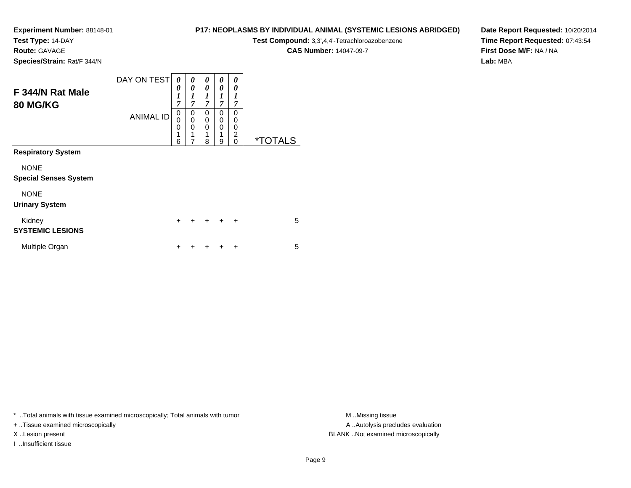**Test Type:** 14-DAY

**Route:** GAVAGE

**P17: NEOPLASMS BY INDIVIDUAL ANIMAL (SYSTEMIC LESIONS ABRIDGED)**

**Test Compound:** 3,3',4,4'-Tetrachloroazobenzene

**CAS Number:** 14047-09-7

**Date Report Requested:** 10/20/2014**Time Report Requested:** 07:43:54**First Dose M/F:** NA / NA**Lab:** MBA

**Species/Strain:** Rat/F 344/N

| F 344/N Rat Male<br>80 MG/KG                | DAY ON TEST<br><b>ANIMAL ID</b> | 0<br>0<br>$\boldsymbol{l}$<br>7<br>0<br>0<br>0<br>1<br>6 | 0<br>$\boldsymbol{\theta}$<br>$\boldsymbol{l}$<br>$\overline{7}$<br>0<br>$\mathbf 0$<br>0<br>1<br>$\overline{7}$ | 0<br>0<br>1<br>$\overline{7}$<br>$\Omega$<br>0<br>$\Omega$<br>8 | 0<br>0<br>1<br>$\overline{7}$<br>0<br>$\mathbf 0$<br>0<br>1<br>9 | 0<br>0<br>1<br>7<br>$\Omega$<br>0<br>0<br>$\overline{2}$<br>$\Omega$ | <i><b>*TOTALS</b></i> |
|---------------------------------------------|---------------------------------|----------------------------------------------------------|------------------------------------------------------------------------------------------------------------------|-----------------------------------------------------------------|------------------------------------------------------------------|----------------------------------------------------------------------|-----------------------|
| <b>Respiratory System</b>                   |                                 |                                                          |                                                                                                                  |                                                                 |                                                                  |                                                                      |                       |
| <b>NONE</b><br><b>Special Senses System</b> |                                 |                                                          |                                                                                                                  |                                                                 |                                                                  |                                                                      |                       |
| <b>NONE</b><br><b>Urinary System</b>        |                                 |                                                          |                                                                                                                  |                                                                 |                                                                  |                                                                      |                       |
| Kidney<br><b>SYSTEMIC LESIONS</b>           |                                 | $\ddot{}$                                                | $\ddot{}$                                                                                                        | $\div$                                                          | $\ddot{}$                                                        | $\ddot{}$                                                            | 5                     |
| Multiple Organ                              |                                 | ┿                                                        |                                                                                                                  |                                                                 |                                                                  | $\ddot{}$                                                            | 5                     |

\* ..Total animals with tissue examined microscopically; Total animals with tumor **M** . Missing tissue M ..Missing tissue

+ ..Tissue examined microscopically

I ..Insufficient tissue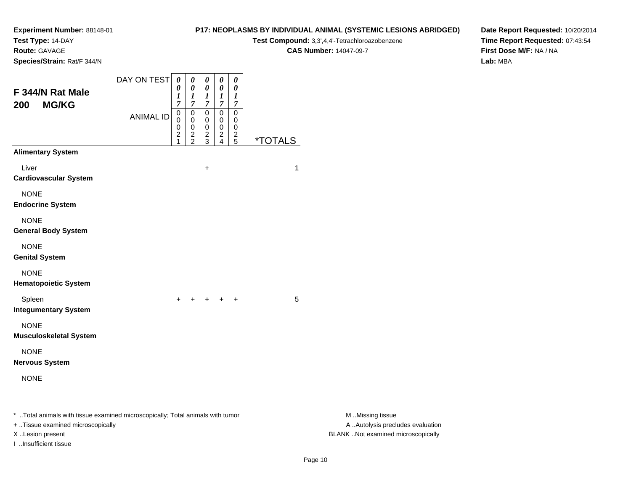**Test Type:** 14-DAY

**Route:** GAVAGE

**Species/Strain:** Rat/F 344/N

#### **P17: NEOPLASMS BY INDIVIDUAL ANIMAL (SYSTEMIC LESIONS ABRIDGED)**

**Test Compound:** 3,3',4,4'-Tetrachloroazobenzene

**CAS Number:** 14047-09-7

**Date Report Requested:** 10/20/2014**Time Report Requested:** 07:43:54**First Dose M/F:** NA / NA**Lab:** MBA

| F 344/N Rat Male<br><b>MG/KG</b><br>200                                                                             | DAY ON TEST      | $\boldsymbol{\theta}$<br>0<br>1<br>7 | 0<br>$\pmb{\theta}$<br>1<br>7        | 0<br>$\pmb{\theta}$<br>$\boldsymbol{l}$<br>7 | 0<br>$\pmb{\theta}$<br>$\boldsymbol{l}$<br>7 | $\boldsymbol{\theta}$<br>$\boldsymbol{\theta}$<br>$\boldsymbol{l}$<br>7 |                       |                                                       |
|---------------------------------------------------------------------------------------------------------------------|------------------|--------------------------------------|--------------------------------------|----------------------------------------------|----------------------------------------------|-------------------------------------------------------------------------|-----------------------|-------------------------------------------------------|
|                                                                                                                     | <b>ANIMAL ID</b> | 0<br>$\Omega$<br>0<br>2              | 0<br>$\pmb{0}$<br>0<br>$\frac{2}{2}$ | 0<br>0<br>0<br>$\frac{2}{3}$                 | 0<br>0<br>0<br>$\frac{2}{4}$                 | $\mathbf 0$<br>0<br>0<br>$\frac{2}{5}$                                  | <i><b>*TOTALS</b></i> |                                                       |
| <b>Alimentary System</b>                                                                                            |                  |                                      |                                      |                                              |                                              |                                                                         |                       |                                                       |
| Liver<br><b>Cardiovascular System</b>                                                                               |                  |                                      |                                      | $\ddot{}$                                    |                                              |                                                                         | $\mathbf{1}$          |                                                       |
| <b>NONE</b><br><b>Endocrine System</b>                                                                              |                  |                                      |                                      |                                              |                                              |                                                                         |                       |                                                       |
| <b>NONE</b><br><b>General Body System</b>                                                                           |                  |                                      |                                      |                                              |                                              |                                                                         |                       |                                                       |
| <b>NONE</b><br><b>Genital System</b>                                                                                |                  |                                      |                                      |                                              |                                              |                                                                         |                       |                                                       |
| <b>NONE</b><br><b>Hematopoietic System</b>                                                                          |                  |                                      |                                      |                                              |                                              |                                                                         |                       |                                                       |
| Spleen<br><b>Integumentary System</b>                                                                               |                  |                                      | $+ + + + + +$                        |                                              |                                              |                                                                         | 5                     |                                                       |
| <b>NONE</b><br><b>Musculoskeletal System</b>                                                                        |                  |                                      |                                      |                                              |                                              |                                                                         |                       |                                                       |
| <b>NONE</b><br><b>Nervous System</b>                                                                                |                  |                                      |                                      |                                              |                                              |                                                                         |                       |                                                       |
| <b>NONE</b>                                                                                                         |                  |                                      |                                      |                                              |                                              |                                                                         |                       |                                                       |
| * Total animals with tissue examined microscopically; Total animals with tumor<br>+ Tissue examined microscopically |                  |                                      |                                      |                                              |                                              |                                                                         |                       | M Missing tissue<br>A  Autolysis precludes evaluation |

I ..Insufficient tissue

M ..Missing tissue X ..Lesion present BLANK ..Not examined microscopically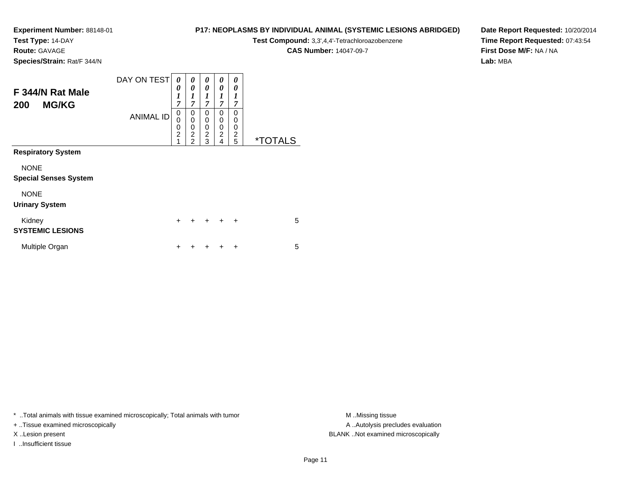**Test Type:** 14-DAY

**Route:** GAVAGE

**Species/Strain:** Rat/F 344/N

# **P17: NEOPLASMS BY INDIVIDUAL ANIMAL (SYSTEMIC LESIONS ABRIDGED)**

**Test Compound:** 3,3',4,4'-Tetrachloroazobenzene

**CAS Number:** 14047-09-7

**Date Report Requested:** 10/20/2014**Time Report Requested:** 07:43:54**First Dose M/F:** NA / NA**Lab:** MBA

| F 344/N Rat Male<br><b>MG/KG</b><br>200     | DAY ON TEST      | 0<br>0<br>$\boldsymbol{l}$<br>7              | 0<br>$\boldsymbol{\theta}$<br>$\boldsymbol{l}$<br>$\overline{7}$ | 0<br>$\boldsymbol{\theta}$<br>$\boldsymbol{l}$<br>7 | 0<br>$\theta$<br>1<br>7                   | 0<br>0<br>1<br>7                          |                       |
|---------------------------------------------|------------------|----------------------------------------------|------------------------------------------------------------------|-----------------------------------------------------|-------------------------------------------|-------------------------------------------|-----------------------|
|                                             | <b>ANIMAL ID</b> | $\mathbf 0$<br>0<br>0<br>$\overline{2}$<br>1 | 0<br>$\mathbf 0$<br>0<br>$\overline{2}$<br>$\overline{2}$        | 0<br>0<br>0<br>$\overline{c}$<br>3                  | $\Omega$<br>0<br>0<br>$\overline{2}$<br>4 | $\Omega$<br>0<br>0<br>$\overline{2}$<br>5 | <i><b>*TOTALS</b></i> |
| <b>Respiratory System</b>                   |                  |                                              |                                                                  |                                                     |                                           |                                           |                       |
| <b>NONE</b><br><b>Special Senses System</b> |                  |                                              |                                                                  |                                                     |                                           |                                           |                       |
| <b>NONE</b><br><b>Urinary System</b>        |                  |                                              |                                                                  |                                                     |                                           |                                           |                       |
| Kidney<br><b>SYSTEMIC LESIONS</b>           |                  | $\ddot{}$                                    | $\ddot{}$                                                        | $+$                                                 | $\ddot{}$                                 | $\ddot{}$                                 | 5                     |
| Multiple Organ                              |                  | +                                            |                                                                  |                                                     |                                           | ٠                                         | 5                     |

\* ..Total animals with tissue examined microscopically; Total animals with tumor **M** . Missing tissue M ..Missing tissue

+ ..Tissue examined microscopically

I ..Insufficient tissue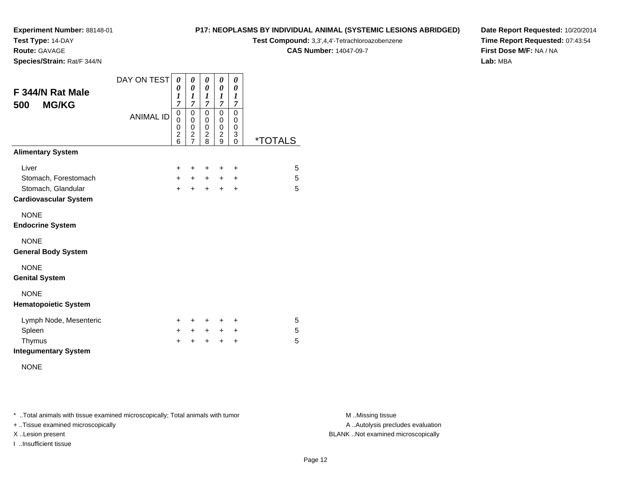**Test Type:** 14-DAY

**Route:** GAVAGE

**Species/Strain:** Rat/F 344/N

#### **P17: NEOPLASMS BY INDIVIDUAL ANIMAL (SYSTEMIC LESIONS ABRIDGED)**

**Test Compound:** 3,3',4,4'-Tetrachloroazobenzene

**CAS Number:** 14047-09-7

**Date Report Requested:** 10/20/2014**Time Report Requested:** 07:43:54**First Dose M/F:** NA / NA**Lab:** MBA

| F 344/N Rat Male             | DAY ON TEST      | 0<br>0<br>1                                                 | 0<br>0<br>1                                                          | 0<br>$\boldsymbol{\theta}$<br>1                                      | 0<br>0<br>$\boldsymbol{l}$                                            | 0<br>0<br>$\boldsymbol{l}$                                |                       |
|------------------------------|------------------|-------------------------------------------------------------|----------------------------------------------------------------------|----------------------------------------------------------------------|-----------------------------------------------------------------------|-----------------------------------------------------------|-----------------------|
| <b>MG/KG</b><br>500          | <b>ANIMAL ID</b> | 7<br>$\mathbf 0$<br>$\mathbf 0$<br>0<br>$\overline{c}$<br>6 | 7<br>$\pmb{0}$<br>$\pmb{0}$<br>0<br>$\overline{c}$<br>$\overline{7}$ | $\overline{7}$<br>$\pmb{0}$<br>$\pmb{0}$<br>$\,0\,$<br>$\frac{2}{8}$ | $\overline{7}$<br>0<br>$\pmb{0}$<br>0<br>$\overline{\mathbf{c}}$<br>9 | 7<br>$\mathbf 0$<br>0<br>$\mathbf 0$<br>3<br>$\mathbf{0}$ | <i><b>*TOTALS</b></i> |
| <b>Alimentary System</b>     |                  |                                                             |                                                                      |                                                                      |                                                                       |                                                           |                       |
| Liver                        |                  | $\ddot{}$                                                   | ٠                                                                    | ÷                                                                    | ٠                                                                     | $\ddot{}$                                                 | 5                     |
| Stomach, Forestomach         |                  | $+$                                                         | $+$                                                                  | $+$                                                                  | $+$                                                                   | $\ddot{}$                                                 | 5                     |
| Stomach, Glandular           |                  | $\ddot{}$                                                   | $\ddot{}$                                                            | $\ddot{}$                                                            | $\ddot{}$                                                             | +                                                         | 5                     |
| <b>Cardiovascular System</b> |                  |                                                             |                                                                      |                                                                      |                                                                       |                                                           |                       |
| <b>NONE</b>                  |                  |                                                             |                                                                      |                                                                      |                                                                       |                                                           |                       |
| <b>Endocrine System</b>      |                  |                                                             |                                                                      |                                                                      |                                                                       |                                                           |                       |
| <b>NONE</b>                  |                  |                                                             |                                                                      |                                                                      |                                                                       |                                                           |                       |
| <b>General Body System</b>   |                  |                                                             |                                                                      |                                                                      |                                                                       |                                                           |                       |
| <b>NONE</b>                  |                  |                                                             |                                                                      |                                                                      |                                                                       |                                                           |                       |
| <b>Genital System</b>        |                  |                                                             |                                                                      |                                                                      |                                                                       |                                                           |                       |
| <b>NONE</b>                  |                  |                                                             |                                                                      |                                                                      |                                                                       |                                                           |                       |
| <b>Hematopoietic System</b>  |                  |                                                             |                                                                      |                                                                      |                                                                       |                                                           |                       |
| Lymph Node, Mesenteric       |                  | $\pm$                                                       | ٠                                                                    | +                                                                    | +                                                                     | ٠                                                         | 5                     |
| Spleen                       |                  | $\pm$                                                       | $+$                                                                  | $+$                                                                  | $+$                                                                   | $\ddot{}$                                                 | 5                     |
| Thymus                       |                  | +                                                           |                                                                      | +                                                                    | +                                                                     | +                                                         | 5                     |
| <b>Integumentary System</b>  |                  |                                                             |                                                                      |                                                                      |                                                                       |                                                           |                       |

NONE

\* ..Total animals with tissue examined microscopically; Total animals with tumor **M** . Missing tissue M ..Missing tissue

+ ..Tissue examined microscopically

I ..Insufficient tissue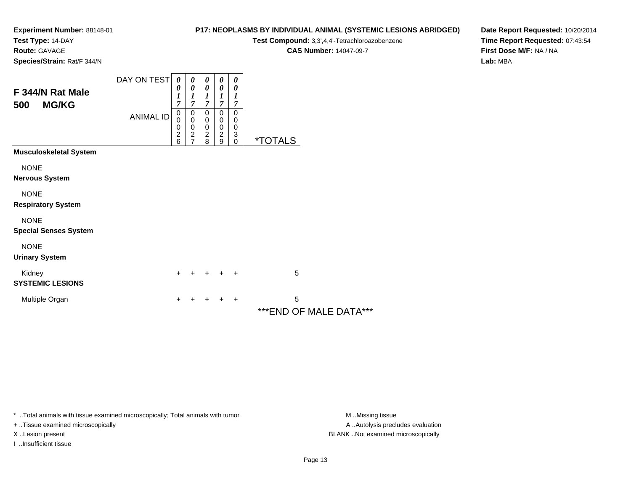**Test Type:** 14-DAY

**Route:** GAVAGE

**Species/Strain:** Rat/F 344/N

### **P17: NEOPLASMS BY INDIVIDUAL ANIMAL (SYSTEMIC LESIONS ABRIDGED)**

**Test Compound:** 3,3',4,4'-Tetrachloroazobenzene

**CAS Number:** 14047-09-7

**Date Report Requested:** 10/20/2014**Time Report Requested:** 07:43:54**First Dose M/F:** NA / NA**Lab:** MBA

| F 344/N Rat Male<br><b>MG/KG</b><br>500     | DAY ON TEST<br><b>ANIMAL ID</b> | 0<br>0<br>$\boldsymbol{l}$<br>7<br>$\boldsymbol{0}$<br>$\mathbf 0$<br>$\begin{array}{c} 0 \\ 2 \\ 6 \end{array}$ | 0<br>0<br>1<br>7<br>0<br>$\mathbf 0$<br>0<br>$\frac{2}{7}$ | 0<br>0<br>1<br>7<br>0<br>$\boldsymbol{0}$<br>$\pmb{0}$<br>$\frac{2}{8}$ | 0<br>0<br>1<br>7<br>0<br>0<br>$\,0\,$<br>$\boldsymbol{2}$<br>9 | 0<br>0<br>1<br>7<br>0<br>0<br>0<br>3<br>0 | <i><b>*TOTALS</b></i>        |  |
|---------------------------------------------|---------------------------------|------------------------------------------------------------------------------------------------------------------|------------------------------------------------------------|-------------------------------------------------------------------------|----------------------------------------------------------------|-------------------------------------------|------------------------------|--|
| <b>Musculoskeletal System</b>               |                                 |                                                                                                                  |                                                            |                                                                         |                                                                |                                           |                              |  |
| <b>NONE</b><br><b>Nervous System</b>        |                                 |                                                                                                                  |                                                            |                                                                         |                                                                |                                           |                              |  |
| <b>NONE</b><br><b>Respiratory System</b>    |                                 |                                                                                                                  |                                                            |                                                                         |                                                                |                                           |                              |  |
| <b>NONE</b><br><b>Special Senses System</b> |                                 |                                                                                                                  |                                                            |                                                                         |                                                                |                                           |                              |  |
| <b>NONE</b><br><b>Urinary System</b>        |                                 |                                                                                                                  |                                                            |                                                                         |                                                                |                                           |                              |  |
| Kidney<br><b>SYSTEMIC LESIONS</b>           |                                 | +                                                                                                                |                                                            | ٠                                                                       | $\ddot{}$                                                      | $\ddot{}$                                 | 5                            |  |
| Multiple Organ                              |                                 | +                                                                                                                |                                                            |                                                                         |                                                                | ÷                                         | 5<br>*** END OF MALE DATA*** |  |

\* ..Total animals with tissue examined microscopically; Total animals with tumor **M** . Missing tissue M ..Missing tissue

+ ..Tissue examined microscopically

I ..Insufficient tissue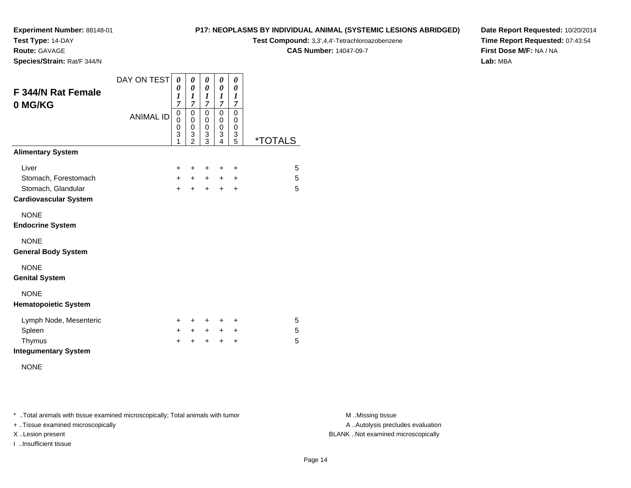**Test Type:** 14-DAY

**Route:** GAVAGE

**Species/Strain:** Rat/F 344/N

#### **P17: NEOPLASMS BY INDIVIDUAL ANIMAL (SYSTEMIC LESIONS ABRIDGED)**

**Test Compound:** 3,3',4,4'-Tetrachloroazobenzene

**CAS Number:** 14047-09-7

**Date Report Requested:** 10/20/2014**Time Report Requested:** 07:43:54**First Dose M/F:** NA / NA**Lab:** MBA

| <b>F344/N Rat Female</b><br>0 MG/KG | DAY ON TEST      | 0<br>0<br>1<br>$\overline{7}$ | 0<br>0<br>1<br>$\overline{7}$                | 0<br>0<br>$\boldsymbol{l}$<br>$\overline{7}$ | 0<br>0<br>1<br>$\overline{7}$   | 0<br>0<br>$\boldsymbol{l}$<br>$\overline{7}$ |         |
|-------------------------------------|------------------|-------------------------------|----------------------------------------------|----------------------------------------------|---------------------------------|----------------------------------------------|---------|
|                                     | <b>ANIMAL ID</b> | 0<br>0<br>0<br>3<br>1         | $\mathbf 0$<br>0<br>0<br>3<br>$\mathfrak{p}$ | $\mathbf 0$<br>$\mathbf 0$<br>0<br>3<br>3    | 0<br>$\mathbf 0$<br>0<br>3<br>4 | 0<br>0<br>$\boldsymbol{0}$<br>3<br>5         | *TOTALS |
| <b>Alimentary System</b>            |                  |                               |                                              |                                              |                                 |                                              |         |
| Liver                               |                  | $\pm$                         | ٠                                            | ÷                                            | ÷                               | ÷                                            | 5       |
| Stomach, Forestomach                |                  | $+$                           | $+$                                          | $+$                                          | $+$                             | $\ddot{}$                                    | 5       |
| Stomach, Glandular                  |                  | $+$                           | $+$                                          | $\ddot{}$                                    | $\pm$                           | $\ddot{}$                                    | 5       |
| <b>Cardiovascular System</b>        |                  |                               |                                              |                                              |                                 |                                              |         |
| <b>NONE</b>                         |                  |                               |                                              |                                              |                                 |                                              |         |
| <b>Endocrine System</b>             |                  |                               |                                              |                                              |                                 |                                              |         |
| <b>NONE</b>                         |                  |                               |                                              |                                              |                                 |                                              |         |
| <b>General Body System</b>          |                  |                               |                                              |                                              |                                 |                                              |         |
| <b>NONE</b>                         |                  |                               |                                              |                                              |                                 |                                              |         |
| <b>Genital System</b>               |                  |                               |                                              |                                              |                                 |                                              |         |
| <b>NONE</b>                         |                  |                               |                                              |                                              |                                 |                                              |         |
| <b>Hematopoietic System</b>         |                  |                               |                                              |                                              |                                 |                                              |         |
| Lymph Node, Mesenteric              |                  | $\ddot{}$                     | ٠                                            | +                                            | ٠                               | ÷                                            | 5       |
| Spleen                              |                  | $\pm$                         | $\pm$                                        | $+$                                          | $+$                             | +                                            | 5       |
| Thymus                              |                  | +                             | ÷                                            | +                                            | +                               | $\ddot{}$                                    | 5       |
| <b>Integumentary System</b>         |                  |                               |                                              |                                              |                                 |                                              |         |

NONE

\* ..Total animals with tissue examined microscopically; Total animals with tumor **M** . Missing tissue M ..Missing tissue

+ ..Tissue examined microscopically

I ..Insufficient tissue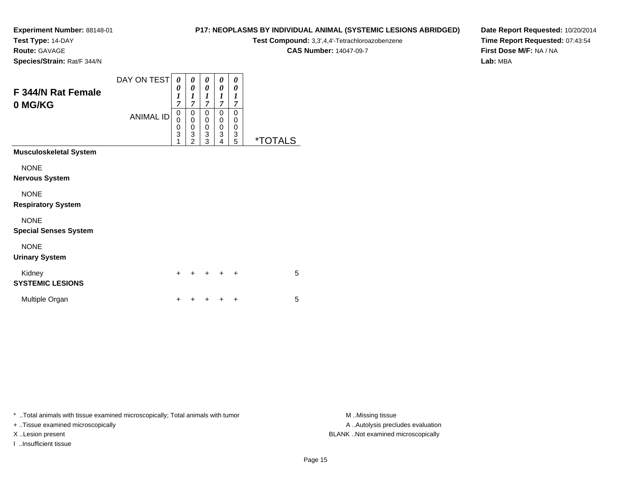**Test Type:** 14-DAY

**Route:** GAVAGE

**Species/Strain:** Rat/F 344/N

# **P17: NEOPLASMS BY INDIVIDUAL ANIMAL (SYSTEMIC LESIONS ABRIDGED)**

**Test Compound:** 3,3',4,4'-Tetrachloroazobenzene

**CAS Number:** 14047-09-7

**Date Report Requested:** 10/20/2014**Time Report Requested:** 07:43:54**First Dose M/F:** NA / NA**Lab:** MBA

| F 344/N Rat Female<br>0 MG/KG               | DAY ON TEST<br><b>ANIMAL ID</b> | 0<br>0<br>$\boldsymbol{l}$<br>$\overline{7}$<br>0<br>$\bar{0}$<br>0<br>3<br>1 | 0<br>$\boldsymbol{\theta}$<br>$\boldsymbol{l}$<br>$\overline{7}$<br>00032 | 0<br>$\boldsymbol{\theta}$<br>$\boldsymbol{l}$<br>$\overline{7}$<br>0<br>$\pmb{0}$<br>$\pmb{0}$<br>$\frac{3}{3}$ | 0<br>0<br>1<br>$\overline{\tau}$<br>0<br>0<br>0<br>3<br>4 | 0<br>0<br>$\boldsymbol{l}$<br>$\overline{7}$<br>0<br>$\boldsymbol{0}$<br>0<br>$\frac{3}{5}$ | <i><b>*TOTALS</b></i> |  |
|---------------------------------------------|---------------------------------|-------------------------------------------------------------------------------|---------------------------------------------------------------------------|------------------------------------------------------------------------------------------------------------------|-----------------------------------------------------------|---------------------------------------------------------------------------------------------|-----------------------|--|
| <b>Musculoskeletal System</b>               |                                 |                                                                               |                                                                           |                                                                                                                  |                                                           |                                                                                             |                       |  |
| <b>NONE</b><br><b>Nervous System</b>        |                                 |                                                                               |                                                                           |                                                                                                                  |                                                           |                                                                                             |                       |  |
| <b>NONE</b><br><b>Respiratory System</b>    |                                 |                                                                               |                                                                           |                                                                                                                  |                                                           |                                                                                             |                       |  |
| <b>NONE</b><br><b>Special Senses System</b> |                                 |                                                                               |                                                                           |                                                                                                                  |                                                           |                                                                                             |                       |  |
| <b>NONE</b><br><b>Urinary System</b>        |                                 |                                                                               |                                                                           |                                                                                                                  |                                                           |                                                                                             |                       |  |
| Kidney<br><b>SYSTEMIC LESIONS</b>           |                                 | $\ddot{}$                                                                     |                                                                           |                                                                                                                  |                                                           | ٠                                                                                           | 5                     |  |
| Multiple Organ                              |                                 | +                                                                             |                                                                           |                                                                                                                  |                                                           | ٠                                                                                           | 5                     |  |

\* ..Total animals with tissue examined microscopically; Total animals with tumor **M** . Missing tissue M ..Missing tissue

+ ..Tissue examined microscopically

I ..Insufficient tissue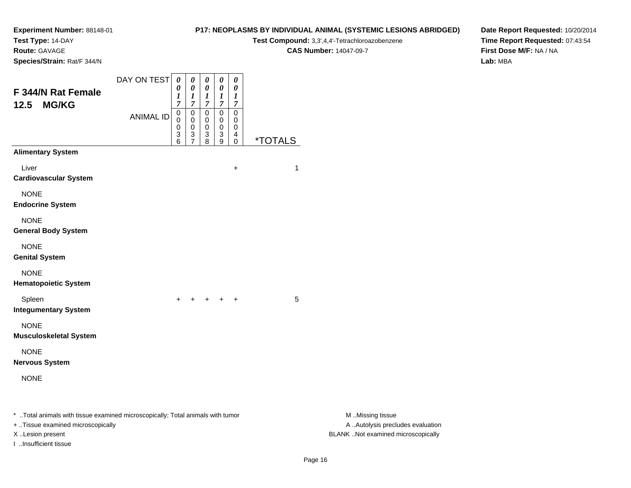**Test Type:** 14-DAY

**Route:** GAVAGE

**Species/Strain:** Rat/F 344/N

#### **P17: NEOPLASMS BY INDIVIDUAL ANIMAL (SYSTEMIC LESIONS ABRIDGED)**

**Test Compound:** 3,3',4,4'-Tetrachloroazobenzene

**CAS Number:** 14047-09-7

**Date Report Requested:** 10/20/2014**Time Report Requested:** 07:43:54**First Dose M/F:** NA / NA**Lab:** MBA

| F 344/N Rat Female<br><b>MG/KG</b><br>12.5                                                                                              | DAY ON TEST      | $\boldsymbol{\theta}$<br>0<br>1<br>$\overline{7}$ | 0<br>0<br>1<br>$\overline{7}$ | 0<br>$\boldsymbol{\theta}$<br>$\boldsymbol{l}$<br>$\overline{7}$ | $\boldsymbol{\theta}$<br>$\boldsymbol{\theta}$<br>$\boldsymbol{l}$<br>$\overline{7}$ | 0<br>$\boldsymbol{\theta}$<br>$\boldsymbol{l}$<br>$\overline{7}$ |                       |                                                                                             |
|-----------------------------------------------------------------------------------------------------------------------------------------|------------------|---------------------------------------------------|-------------------------------|------------------------------------------------------------------|--------------------------------------------------------------------------------------|------------------------------------------------------------------|-----------------------|---------------------------------------------------------------------------------------------|
|                                                                                                                                         | <b>ANIMAL ID</b> | 0<br>0<br>0<br>3<br>6                             | 0<br>0<br>0<br>$\frac{3}{7}$  | 0<br>0<br>0<br>3<br>8                                            | $\pmb{0}$<br>0<br>0<br>3<br>9                                                        | $\pmb{0}$<br>0<br>$\mathbf 0$<br>$\overline{4}$<br>0             | <i><b>*TOTALS</b></i> |                                                                                             |
| <b>Alimentary System</b>                                                                                                                |                  |                                                   |                               |                                                                  |                                                                                      |                                                                  |                       |                                                                                             |
| Liver<br><b>Cardiovascular System</b>                                                                                                   |                  |                                                   |                               |                                                                  |                                                                                      | $\ddot{}$                                                        | 1                     |                                                                                             |
| <b>NONE</b><br><b>Endocrine System</b>                                                                                                  |                  |                                                   |                               |                                                                  |                                                                                      |                                                                  |                       |                                                                                             |
| <b>NONE</b><br><b>General Body System</b>                                                                                               |                  |                                                   |                               |                                                                  |                                                                                      |                                                                  |                       |                                                                                             |
| <b>NONE</b><br><b>Genital System</b>                                                                                                    |                  |                                                   |                               |                                                                  |                                                                                      |                                                                  |                       |                                                                                             |
| <b>NONE</b><br><b>Hematopoietic System</b>                                                                                              |                  |                                                   |                               |                                                                  |                                                                                      |                                                                  |                       |                                                                                             |
| Spleen<br><b>Integumentary System</b>                                                                                                   |                  | $\ddot{}$                                         |                               | + + + +                                                          |                                                                                      |                                                                  | 5                     |                                                                                             |
| <b>NONE</b><br><b>Musculoskeletal System</b>                                                                                            |                  |                                                   |                               |                                                                  |                                                                                      |                                                                  |                       |                                                                                             |
| <b>NONE</b><br><b>Nervous System</b>                                                                                                    |                  |                                                   |                               |                                                                  |                                                                                      |                                                                  |                       |                                                                                             |
| <b>NONE</b>                                                                                                                             |                  |                                                   |                               |                                                                  |                                                                                      |                                                                  |                       |                                                                                             |
| * Total animals with tissue examined microscopically; Total animals with tumor<br>+ Tissue examined microscopically<br>X Lesion present |                  |                                                   |                               |                                                                  |                                                                                      |                                                                  |                       | M Missing tissue<br>A  Autolysis precludes evaluation<br>BLANK Not examined microscopically |

I ..Insufficient tissue

M ..Missing tissue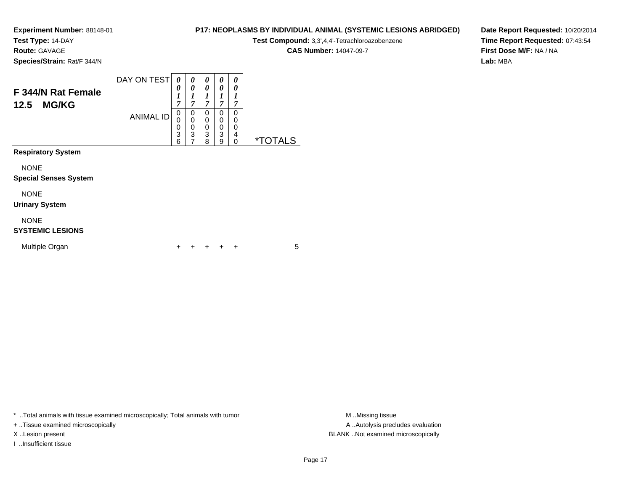**Test Type:** 14-DAY

**Route:** GAVAGE

**Species/Strain:** Rat/F 344/N

# **P17: NEOPLASMS BY INDIVIDUAL ANIMAL (SYSTEMIC LESIONS ABRIDGED)**

**Test Compound:** 3,3',4,4'-Tetrachloroazobenzene

**CAS Number:** 14047-09-7

**Date Report Requested:** 10/20/2014**Time Report Requested:** 07:43:54**First Dose M/F:** NA / NA**Lab:** MBA

| F 344/N Rat Female<br><b>MG/KG</b><br>12.5  | DAY ON TEST      | 0<br>0<br>1<br>7      | 0<br>0<br>1<br>$\overline{7}$                   | 0<br>0<br>7                     | 0<br>0<br>1<br>7      | 0<br>0<br>1<br>7      |         |
|---------------------------------------------|------------------|-----------------------|-------------------------------------------------|---------------------------------|-----------------------|-----------------------|---------|
|                                             | <b>ANIMAL ID</b> | 0<br>0<br>0<br>3<br>6 | 0<br>0<br>0<br>$\overline{3}$<br>$\overline{7}$ | 0<br>0<br>$\mathbf 0$<br>3<br>8 | 0<br>0<br>0<br>3<br>9 | 0<br>0<br>0<br>4<br>0 | *TOTALS |
| <b>Respiratory System</b>                   |                  |                       |                                                 |                                 |                       |                       |         |
| <b>NONE</b><br><b>Special Senses System</b> |                  |                       |                                                 |                                 |                       |                       |         |
| <b>NONE</b><br><b>Urinary System</b>        |                  |                       |                                                 |                                 |                       |                       |         |
| <b>NONE</b><br><b>SYSTEMIC LESIONS</b>      |                  |                       |                                                 |                                 |                       |                       |         |
| Multiple Organ                              |                  | +                     |                                                 |                                 |                       | ÷                     | 5       |

\* ..Total animals with tissue examined microscopically; Total animals with tumor **M** . Missing tissue M ..Missing tissue

+ ..Tissue examined microscopically

I ..Insufficient tissue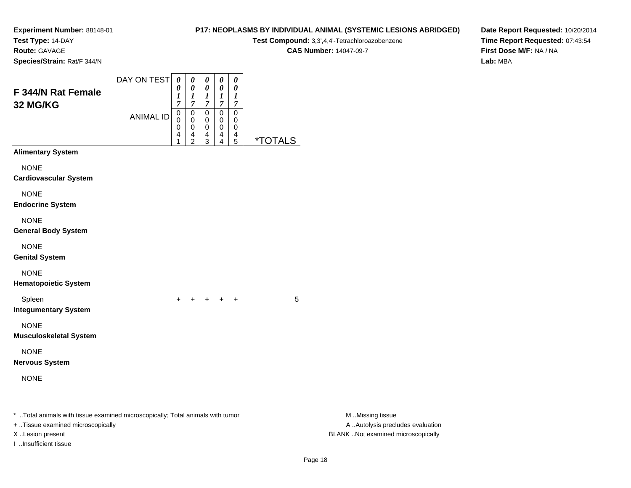**Test Type:** 14-DAY

**Route:** GAVAGE

**Species/Strain:** Rat/F 344/N

## **P17: NEOPLASMS BY INDIVIDUAL ANIMAL (SYSTEMIC LESIONS ABRIDGED)**

**Test Compound:** 3,3',4,4'-Tetrachloroazobenzene

**CAS Number:** 14047-09-7

| F 344/N Rat Female<br>32 MG/KG                                                                                                                                   | DAY ON TEST<br><b>ANIMAL ID</b> | 0<br>0<br>1<br>$\overline{7}$<br>0<br>0<br>0<br>4<br>1 | 0<br>$\boldsymbol{\theta}$<br>$\boldsymbol{l}$<br>$\boldsymbol{7}$<br>$\pmb{0}$<br>$\pmb{0}$<br>$\pmb{0}$<br>4<br>$\overline{c}$ | 0<br>0<br>1<br>$\overline{7}$<br>$\pmb{0}$<br>0<br>0<br>4<br>3 | $\pmb{\theta}$<br>0<br>$\boldsymbol{l}$<br>$\boldsymbol{7}$<br>$\pmb{0}$<br>0<br>0<br>4<br>4 | $\pmb{\theta}$<br>$\pmb{\theta}$<br>1<br>$\boldsymbol{7}$<br>$\pmb{0}$<br>0<br>0<br>4<br>5 | <i><b>*TOTALS</b></i> |                                                                                             |  |
|------------------------------------------------------------------------------------------------------------------------------------------------------------------|---------------------------------|--------------------------------------------------------|----------------------------------------------------------------------------------------------------------------------------------|----------------------------------------------------------------|----------------------------------------------------------------------------------------------|--------------------------------------------------------------------------------------------|-----------------------|---------------------------------------------------------------------------------------------|--|
| <b>Alimentary System</b>                                                                                                                                         |                                 |                                                        |                                                                                                                                  |                                                                |                                                                                              |                                                                                            |                       |                                                                                             |  |
| <b>NONE</b><br><b>Cardiovascular System</b>                                                                                                                      |                                 |                                                        |                                                                                                                                  |                                                                |                                                                                              |                                                                                            |                       |                                                                                             |  |
| <b>NONE</b><br><b>Endocrine System</b>                                                                                                                           |                                 |                                                        |                                                                                                                                  |                                                                |                                                                                              |                                                                                            |                       |                                                                                             |  |
| <b>NONE</b><br><b>General Body System</b>                                                                                                                        |                                 |                                                        |                                                                                                                                  |                                                                |                                                                                              |                                                                                            |                       |                                                                                             |  |
| <b>NONE</b><br><b>Genital System</b>                                                                                                                             |                                 |                                                        |                                                                                                                                  |                                                                |                                                                                              |                                                                                            |                       |                                                                                             |  |
| <b>NONE</b><br><b>Hematopoietic System</b>                                                                                                                       |                                 |                                                        |                                                                                                                                  |                                                                |                                                                                              |                                                                                            |                       |                                                                                             |  |
| Spleen<br><b>Integumentary System</b>                                                                                                                            |                                 |                                                        |                                                                                                                                  |                                                                | $+$ $+$                                                                                      | $+$                                                                                        | 5                     |                                                                                             |  |
| <b>NONE</b><br><b>Musculoskeletal System</b>                                                                                                                     |                                 |                                                        |                                                                                                                                  |                                                                |                                                                                              |                                                                                            |                       |                                                                                             |  |
| <b>NONE</b><br><b>Nervous System</b>                                                                                                                             |                                 |                                                        |                                                                                                                                  |                                                                |                                                                                              |                                                                                            |                       |                                                                                             |  |
| <b>NONE</b>                                                                                                                                                      |                                 |                                                        |                                                                                                                                  |                                                                |                                                                                              |                                                                                            |                       |                                                                                             |  |
| * Total animals with tissue examined microscopically; Total animals with tumor<br>+ Tissue examined microscopically<br>X Lesion present<br>I Insufficient tissue |                                 |                                                        |                                                                                                                                  |                                                                |                                                                                              |                                                                                            |                       | M Missing tissue<br>A  Autolysis precludes evaluation<br>BLANK Not examined microscopically |  |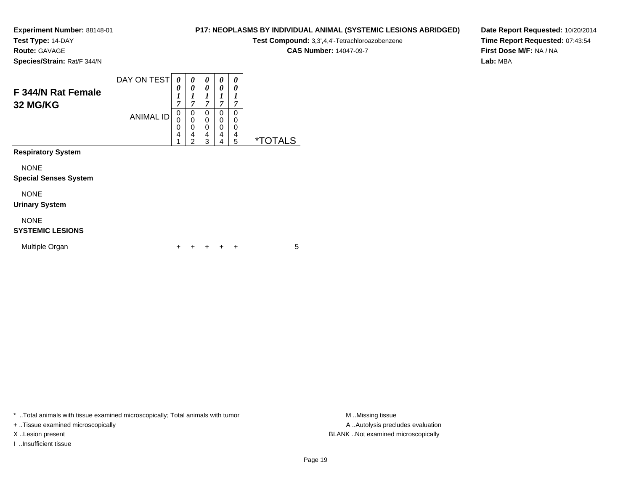**Test Type:** 14-DAY

**Route:** GAVAGE

**Species/Strain:** Rat/F 344/N

# **P17: NEOPLASMS BY INDIVIDUAL ANIMAL (SYSTEMIC LESIONS ABRIDGED)**

**Test Compound:** 3,3',4,4'-Tetrachloroazobenzene

**CAS Number:** 14047-09-7

**Date Report Requested:** 10/20/2014**Time Report Requested:** 07:43:54**First Dose M/F:** NA / NA**Lab:** MBA

| F 344/N Rat Female<br>32 MG/KG              | DAY ON TEST<br><b>ANIMAL ID</b> | 0<br>0<br>1<br>$\overline{7}$<br>0<br>0<br>0<br>4<br>1 | 0<br>0<br>1<br>7<br>0<br>$\mathbf 0$<br>0<br>4<br>$\overline{2}$ | 0<br>0<br>$\boldsymbol{l}$<br>$\overline{7}$<br>0<br>0<br>0<br>4<br>3 | 0<br>0<br>1<br>7<br>$\Omega$<br>$\mathbf 0$<br>$\mathbf 0$<br>4<br>4 | 0<br>0<br>1<br>7<br>$\Omega$<br>0<br>0<br>4<br>5 | <i><b>*TOTALS</b></i> |
|---------------------------------------------|---------------------------------|--------------------------------------------------------|------------------------------------------------------------------|-----------------------------------------------------------------------|----------------------------------------------------------------------|--------------------------------------------------|-----------------------|
| <b>Respiratory System</b>                   |                                 |                                                        |                                                                  |                                                                       |                                                                      |                                                  |                       |
| <b>NONE</b><br><b>Special Senses System</b> |                                 |                                                        |                                                                  |                                                                       |                                                                      |                                                  |                       |
| <b>NONE</b><br><b>Urinary System</b>        |                                 |                                                        |                                                                  |                                                                       |                                                                      |                                                  |                       |
| <b>NONE</b><br><b>SYSTEMIC LESIONS</b>      |                                 |                                                        |                                                                  |                                                                       |                                                                      |                                                  |                       |
| Multiple Organ                              |                                 | +                                                      |                                                                  |                                                                       |                                                                      | $\div$                                           | 5                     |

\* ..Total animals with tissue examined microscopically; Total animals with tumor **M** . Missing tissue M ..Missing tissue

+ ..Tissue examined microscopically

I ..Insufficient tissue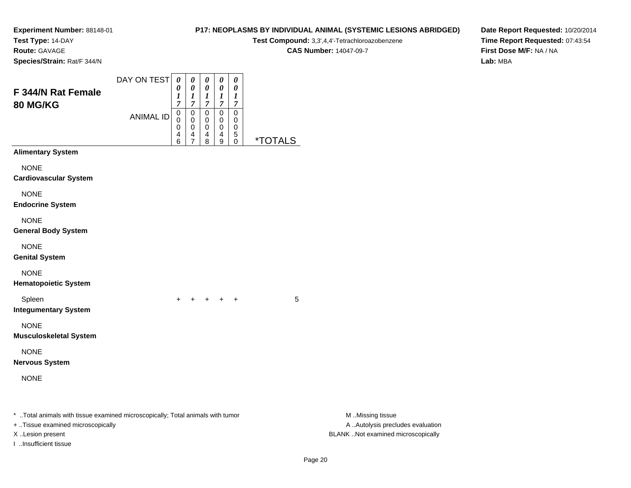**Test Type:** 14-DAY

**Route:** GAVAGE

**Species/Strain:** Rat/F 344/N

## **P17: NEOPLASMS BY INDIVIDUAL ANIMAL (SYSTEMIC LESIONS ABRIDGED)**

**Test Compound:** 3,3',4,4'-Tetrachloroazobenzene

**CAS Number:** 14047-09-7

| F 344/N Rat Female<br>80 MG/KG                                                                                                          | DAY ON TEST      | 0<br>0<br>1<br>$\overline{7}$   | 0<br>$\pmb{\theta}$<br>$\frac{1}{7}$ | $\pmb{\theta}$<br>$\pmb{\theta}$<br>$\frac{1}{7}$           | $\boldsymbol{\theta}$<br>$\boldsymbol{\theta}$<br>$\frac{1}{7}$ | $\boldsymbol{\theta}$<br>$\boldsymbol{\theta}$<br>$\boldsymbol{l}$<br>$\boldsymbol{7}$ |                       |                                                                                             |
|-----------------------------------------------------------------------------------------------------------------------------------------|------------------|---------------------------------|--------------------------------------|-------------------------------------------------------------|-----------------------------------------------------------------|----------------------------------------------------------------------------------------|-----------------------|---------------------------------------------------------------------------------------------|
|                                                                                                                                         | <b>ANIMAL ID</b> | $\mathbf 0$<br>0<br>0<br>4<br>6 | 0<br>0<br>0<br>$\overline{4}$<br>7   | $\pmb{0}$<br>0<br>$\pmb{0}$<br>$\overline{\mathbf{r}}$<br>8 | $\pmb{0}$<br>0<br>$\pmb{0}$<br>$\overline{4}$<br>9              | $\pmb{0}$<br>0<br>0<br>5<br>0                                                          | <i><b>*TOTALS</b></i> |                                                                                             |
| <b>Alimentary System</b>                                                                                                                |                  |                                 |                                      |                                                             |                                                                 |                                                                                        |                       |                                                                                             |
| <b>NONE</b><br><b>Cardiovascular System</b>                                                                                             |                  |                                 |                                      |                                                             |                                                                 |                                                                                        |                       |                                                                                             |
| <b>NONE</b><br><b>Endocrine System</b>                                                                                                  |                  |                                 |                                      |                                                             |                                                                 |                                                                                        |                       |                                                                                             |
| <b>NONE</b><br><b>General Body System</b>                                                                                               |                  |                                 |                                      |                                                             |                                                                 |                                                                                        |                       |                                                                                             |
| <b>NONE</b><br><b>Genital System</b>                                                                                                    |                  |                                 |                                      |                                                             |                                                                 |                                                                                        |                       |                                                                                             |
| <b>NONE</b><br><b>Hematopoietic System</b>                                                                                              |                  |                                 |                                      |                                                             |                                                                 |                                                                                        |                       |                                                                                             |
| Spleen<br><b>Integumentary System</b>                                                                                                   |                  | $\ddot{}$                       |                                      | $+$                                                         | $\ddot{}$                                                       | $\ddot{}$                                                                              | 5                     |                                                                                             |
| <b>NONE</b><br><b>Musculoskeletal System</b>                                                                                            |                  |                                 |                                      |                                                             |                                                                 |                                                                                        |                       |                                                                                             |
| <b>NONE</b><br><b>Nervous System</b>                                                                                                    |                  |                                 |                                      |                                                             |                                                                 |                                                                                        |                       |                                                                                             |
| <b>NONE</b>                                                                                                                             |                  |                                 |                                      |                                                             |                                                                 |                                                                                        |                       |                                                                                             |
| * Total animals with tissue examined microscopically; Total animals with tumor<br>+ Tissue examined microscopically<br>X Lesion present |                  |                                 |                                      |                                                             |                                                                 |                                                                                        |                       | M Missing tissue<br>A  Autolysis precludes evaluation<br>BLANK Not examined microscopically |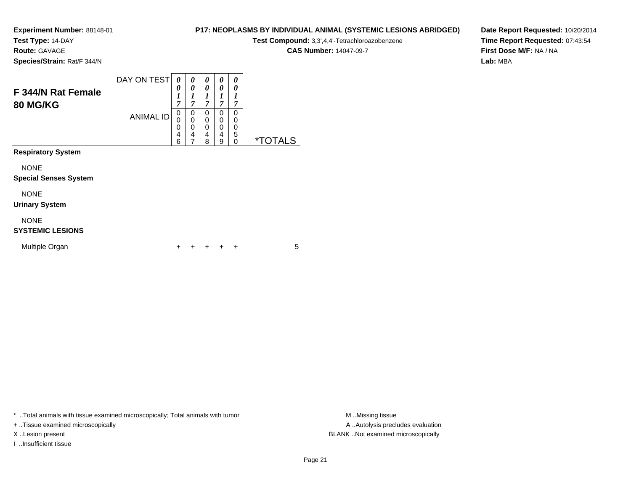**Test Type:** 14-DAY

**Route:** GAVAGE

**P17: NEOPLASMS BY INDIVIDUAL ANIMAL (SYSTEMIC LESIONS ABRIDGED)**

**Test Compound:** 3,3',4,4'-Tetrachloroazobenzene

**CAS Number:** 14047-09-7

**Date Report Requested:** 10/20/2014**Time Report Requested:** 07:43:54**First Dose M/F:** NA / NA**Lab:** MBA

**Species/Strain:** Rat/F 344/N

| F 344/N Rat Female<br><b>80 MG/KG</b>       | DAY ON TEST<br><b>ANIMAL ID</b> | $\theta$<br>0<br>1<br>7<br>$\mathbf 0$<br>0<br>0<br>4 | 0<br>0<br>1<br>$\overline{7}$<br>0<br>0<br>0<br>4 | 0<br>0<br>1<br>$\overline{7}$<br>0<br>0<br>0<br>4 | 0<br>0<br>1<br>7<br>0<br>0<br>0<br>4 | 0<br>0<br>7<br>0<br>0<br>0<br>5 |                       |
|---------------------------------------------|---------------------------------|-------------------------------------------------------|---------------------------------------------------|---------------------------------------------------|--------------------------------------|---------------------------------|-----------------------|
| <b>Respiratory System</b>                   |                                 | 6                                                     | 7                                                 | 8                                                 | 9                                    | 0                               | <i><b>*TOTALS</b></i> |
| <b>NONE</b><br><b>Special Senses System</b> |                                 |                                                       |                                                   |                                                   |                                      |                                 |                       |
| <b>NONE</b><br><b>Urinary System</b>        |                                 |                                                       |                                                   |                                                   |                                      |                                 |                       |
| <b>NONE</b><br><b>SYSTEMIC LESIONS</b>      |                                 |                                                       |                                                   |                                                   |                                      |                                 |                       |
| Multiple Organ                              |                                 | ┿                                                     |                                                   |                                                   | ٠                                    | ÷                               | 5                     |

\* ..Total animals with tissue examined microscopically; Total animals with tumor **M** . Missing tissue M ..Missing tissue

+ ..Tissue examined microscopically

I ..Insufficient tissue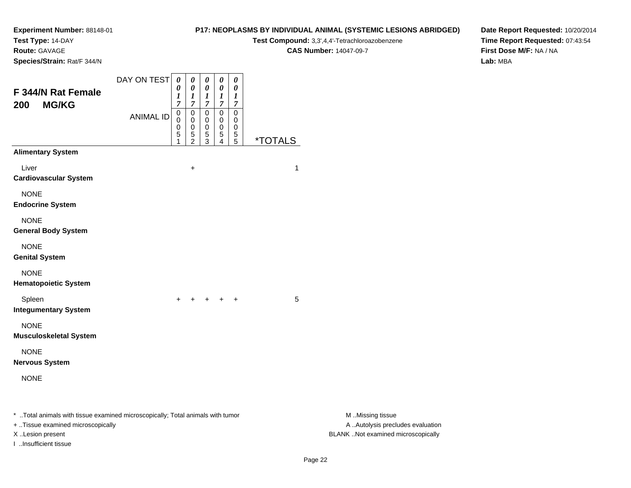**Test Type:** 14-DAY

**Route:** GAVAGE

**Species/Strain:** Rat/F 344/N

#### **P17: NEOPLASMS BY INDIVIDUAL ANIMAL (SYSTEMIC LESIONS ABRIDGED)**

**Test Compound:** 3,3',4,4'-Tetrachloroazobenzene

**CAS Number:** 14047-09-7

**Date Report Requested:** 10/20/2014**Time Report Requested:** 07:43:54**First Dose M/F:** NA / NA**Lab:** MBA

| F 344/N Rat Female<br><b>MG/KG</b><br>200                                                                           | DAY ON TEST      | $\pmb{\theta}$<br>0<br>1<br>$\overline{7}$<br>$\pmb{0}$ | $\pmb{\theta}$<br>0<br>$\boldsymbol{l}$<br>$\overline{7}$<br>0 | $\pmb{\theta}$<br>0<br>$\boldsymbol{l}$<br>$\overline{7}$<br>0 | $\pmb{\theta}$<br>$\boldsymbol{\theta}$<br>$\boldsymbol{l}$<br>$\boldsymbol{7}$<br>$\pmb{0}$ | $\boldsymbol{\theta}$<br>0<br>$\boldsymbol{l}$<br>$\overline{7}$<br>$\mathbf 0$ |                       |                                                       |
|---------------------------------------------------------------------------------------------------------------------|------------------|---------------------------------------------------------|----------------------------------------------------------------|----------------------------------------------------------------|----------------------------------------------------------------------------------------------|---------------------------------------------------------------------------------|-----------------------|-------------------------------------------------------|
|                                                                                                                     | <b>ANIMAL ID</b> | 0<br>0<br>5<br>1                                        | 0<br>0<br>$\frac{5}{2}$                                        | 0<br>0<br>$\mathbf 5$<br>$\sqrt{3}$                            | $\mathbf 0$<br>0<br>$\mathbf 5$<br>4                                                         | 0<br>$\mathbf 0$<br>$\frac{5}{5}$                                               | <i><b>*TOTALS</b></i> |                                                       |
| <b>Alimentary System</b>                                                                                            |                  |                                                         |                                                                |                                                                |                                                                                              |                                                                                 |                       |                                                       |
| Liver<br><b>Cardiovascular System</b>                                                                               |                  |                                                         | $\ddot{}$                                                      |                                                                |                                                                                              |                                                                                 | 1                     |                                                       |
| <b>NONE</b><br><b>Endocrine System</b>                                                                              |                  |                                                         |                                                                |                                                                |                                                                                              |                                                                                 |                       |                                                       |
| <b>NONE</b><br><b>General Body System</b>                                                                           |                  |                                                         |                                                                |                                                                |                                                                                              |                                                                                 |                       |                                                       |
| <b>NONE</b><br><b>Genital System</b>                                                                                |                  |                                                         |                                                                |                                                                |                                                                                              |                                                                                 |                       |                                                       |
| <b>NONE</b><br><b>Hematopoietic System</b>                                                                          |                  |                                                         |                                                                |                                                                |                                                                                              |                                                                                 |                       |                                                       |
| Spleen<br><b>Integumentary System</b>                                                                               |                  | $+$                                                     |                                                                | $+$                                                            |                                                                                              | $\ddot{}$                                                                       | 5                     |                                                       |
| <b>NONE</b><br><b>Musculoskeletal System</b>                                                                        |                  |                                                         |                                                                |                                                                |                                                                                              |                                                                                 |                       |                                                       |
| <b>NONE</b><br><b>Nervous System</b>                                                                                |                  |                                                         |                                                                |                                                                |                                                                                              |                                                                                 |                       |                                                       |
| <b>NONE</b>                                                                                                         |                  |                                                         |                                                                |                                                                |                                                                                              |                                                                                 |                       |                                                       |
| * Total animals with tissue examined microscopically; Total animals with tumor<br>+ Tissue examined microscopically |                  |                                                         |                                                                |                                                                |                                                                                              |                                                                                 |                       | M Missing tissue<br>A  Autolysis precludes evaluation |

I ..Insufficient tissue

M ..Missing tissue X ..Lesion present BLANK ..Not examined microscopically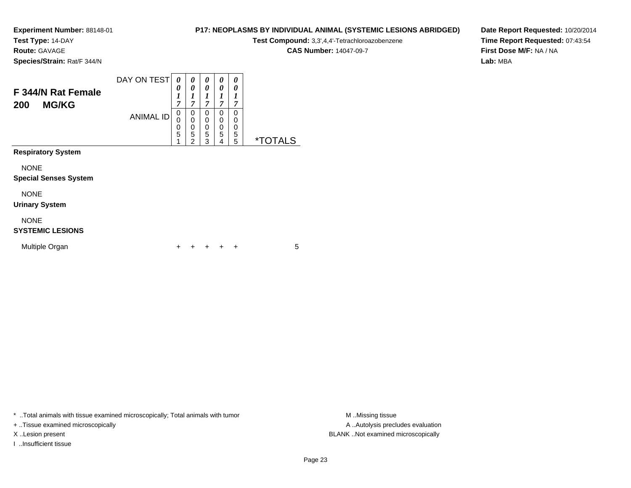**Test Type:** 14-DAY

**Route:** GAVAGE

**Species/Strain:** Rat/F 344/N

# **P17: NEOPLASMS BY INDIVIDUAL ANIMAL (SYSTEMIC LESIONS ABRIDGED)**

**Test Compound:** 3,3',4,4'-Tetrachloroazobenzene

**CAS Number:** 14047-09-7

**Date Report Requested:** 10/20/2014**Time Report Requested:** 07:43:54**First Dose M/F:** NA / NA**Lab:** MBA

| F 344/N Rat Female<br><b>MG/KG</b><br>200   | DAY ON TEST      | $\theta$<br>0<br>$\boldsymbol{l}$<br>7 | 0<br>0<br>1<br>7                             | 0<br>0<br>1<br>7                       | 0<br>0<br>1<br>$\overline{7}$ | 0<br>0<br>1<br>7      |                       |
|---------------------------------------------|------------------|----------------------------------------|----------------------------------------------|----------------------------------------|-------------------------------|-----------------------|-----------------------|
|                                             | <b>ANIMAL ID</b> | $\Omega$<br>0<br>0<br>5                | 0<br>$\mathbf 0$<br>0<br>5<br>$\overline{2}$ | $\Omega$<br>0<br>$\mathbf 0$<br>5<br>3 | 0<br>0<br>0<br>5<br>4         | 0<br>0<br>0<br>5<br>5 | <i><b>*TOTALS</b></i> |
| <b>Respiratory System</b>                   |                  |                                        |                                              |                                        |                               |                       |                       |
| <b>NONE</b><br><b>Special Senses System</b> |                  |                                        |                                              |                                        |                               |                       |                       |
| <b>NONE</b><br><b>Urinary System</b>        |                  |                                        |                                              |                                        |                               |                       |                       |
| <b>NONE</b><br><b>SYSTEMIC LESIONS</b>      |                  |                                        |                                              |                                        |                               |                       |                       |
| Multiple Organ                              |                  |                                        |                                              |                                        |                               | ٠                     | 5                     |

\* ..Total animals with tissue examined microscopically; Total animals with tumor **M** . Missing tissue M ..Missing tissue

+ ..Tissue examined microscopically

I ..Insufficient tissue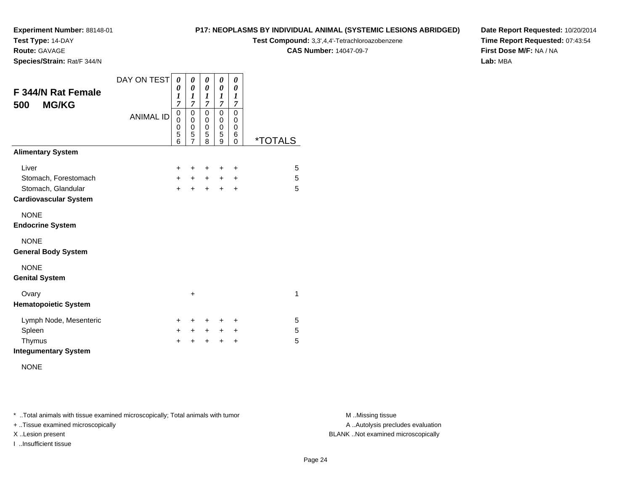**Test Type:** 14-DAY

**Route:** GAVAGE

**Species/Strain:** Rat/F 344/N

#### **P17: NEOPLASMS BY INDIVIDUAL ANIMAL (SYSTEMIC LESIONS ABRIDGED)**

**Test Compound:** 3,3',4,4'-Tetrachloroazobenzene

**CAS Number:** 14047-09-7

**Date Report Requested:** 10/20/2014**Time Report Requested:** 07:43:54**First Dose M/F:** NA / NA**Lab:** MBA

| F 344/N Rat Female<br><b>MG/KG</b><br>500 | DAY ON TEST      | 0<br>0<br>1<br>7                                    | 0<br>$\boldsymbol{\theta}$<br>1<br>7      | 0<br>0<br>$\boldsymbol{l}$<br>7 | 0<br>0<br>1<br>$\overline{7}$             | 0<br>0<br>1<br>7                          |                       |
|-------------------------------------------|------------------|-----------------------------------------------------|-------------------------------------------|---------------------------------|-------------------------------------------|-------------------------------------------|-----------------------|
|                                           | <b>ANIMAL ID</b> | $\mathbf 0$<br>$\mathbf 0$<br>$\mathbf 0$<br>5<br>6 | $\mathbf 0$<br>0<br>$\mathbf 0$<br>5<br>7 | 0<br>0<br>$\mathbf 0$<br>5<br>8 | $\mathbf 0$<br>0<br>$\mathbf 0$<br>5<br>9 | 0<br>0<br>$\mathbf 0$<br>6<br>$\mathbf 0$ | <i><b>*TOTALS</b></i> |
| <b>Alimentary System</b>                  |                  |                                                     |                                           |                                 |                                           |                                           |                       |
| Liver                                     |                  | $\ddot{}$                                           | ٠                                         | ٠                               | ٠                                         | $\ddot{}$                                 | 5                     |
| Stomach, Forestomach                      |                  | $+$                                                 | $\pm$                                     | $\ddot{}$                       | $\pm$                                     | $\ddot{}$                                 | 5                     |
| Stomach, Glandular                        |                  | $+$                                                 | $\ddot{}$                                 | $+$                             | $+$                                       | $\ddot{}$                                 | 5                     |
| <b>Cardiovascular System</b>              |                  |                                                     |                                           |                                 |                                           |                                           |                       |
| <b>NONE</b>                               |                  |                                                     |                                           |                                 |                                           |                                           |                       |
| <b>Endocrine System</b>                   |                  |                                                     |                                           |                                 |                                           |                                           |                       |
| <b>NONE</b>                               |                  |                                                     |                                           |                                 |                                           |                                           |                       |
| <b>General Body System</b>                |                  |                                                     |                                           |                                 |                                           |                                           |                       |
| <b>NONE</b>                               |                  |                                                     |                                           |                                 |                                           |                                           |                       |
| <b>Genital System</b>                     |                  |                                                     |                                           |                                 |                                           |                                           |                       |
| Ovary                                     |                  |                                                     | $\ddot{}$                                 |                                 |                                           |                                           | 1                     |
| <b>Hematopoietic System</b>               |                  |                                                     |                                           |                                 |                                           |                                           |                       |
| Lymph Node, Mesenteric                    |                  | $\ddot{}$                                           | ٠                                         | ٠                               | ÷                                         | ÷                                         | 5                     |
| Spleen                                    |                  | $\ddot{}$                                           | $\ddot{}$                                 | $\ddot{}$                       | $\ddot{}$                                 | $\ddot{}$                                 | 5                     |
| Thymus                                    |                  | $\ddot{}$                                           |                                           | $\ddot{}$                       | $\ddot{}$                                 | $\ddot{}$                                 | 5                     |
| <b>Integumentary System</b>               |                  |                                                     |                                           |                                 |                                           |                                           |                       |

NONE

\* ..Total animals with tissue examined microscopically; Total animals with tumor **M** . Missing tissue M ..Missing tissue

+ ..Tissue examined microscopically

I ..Insufficient tissue